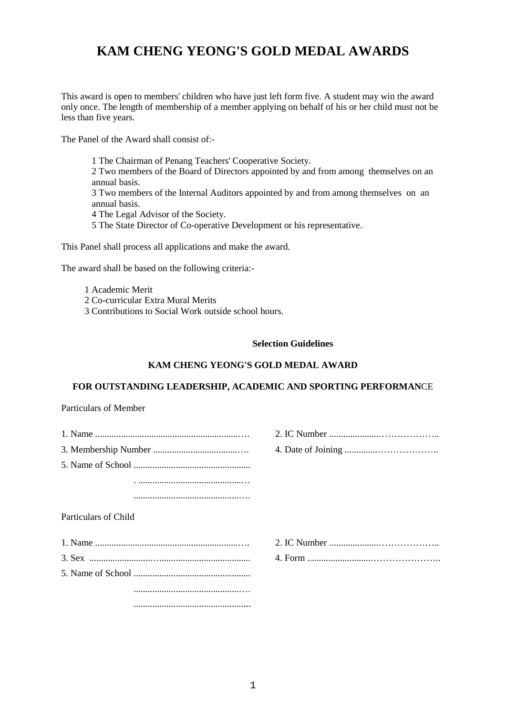# **KAM CHENG YEONG'S GOLD MEDAL AWARDS**

This award is open to members' children who have just left form five. A student may win the award only once. The length of membership of a member applying on behalf of his or her child must not be less than five years.

The Panel of the Award shall consist of:-

1 The Chairman of Penang Teachers' Cooperative Society. 2 Two members of the Board of Directors appointed by and from among themselves on an annual basis. 3 Two members of the Internal Auditors appointed by and from among themselves on an annual basis. 4 The Legal Advisor of the Society. 5 The State Director of Co-operative Development or his representative.

This Panel shall process all applications and make the award.

The award shall be based on the following criteria:-

- 1 Academic Merit
- 2 Co-curricular Extra Mural Merits
- 3 Contributions to Social Work outside school hours.

#### **Selection Guidelines**

## **KAM CHENG YEONG'S GOLD MEDAL AWARD**

#### **FOR OUTSTANDING LEADERSHIP, ACADEMIC AND SPORTING PERFORMAN**CE

Particulars of Member

| Particulars of Child |  |
|----------------------|--|
|                      |  |
|                      |  |
|                      |  |
|                      |  |
|                      |  |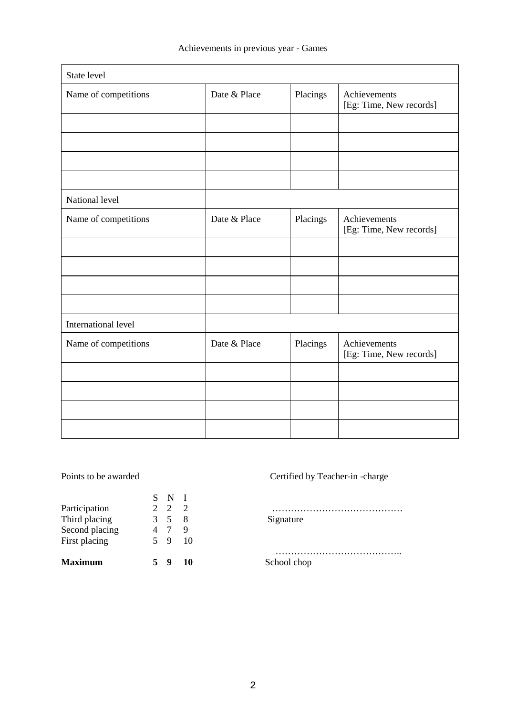| State level          |              |          |                                         |
|----------------------|--------------|----------|-----------------------------------------|
| Name of competitions | Date & Place | Placings | Achievements<br>[Eg: Time, New records] |
|                      |              |          |                                         |
|                      |              |          |                                         |
|                      |              |          |                                         |
|                      |              |          |                                         |
| National level       |              |          |                                         |
| Name of competitions | Date & Place | Placings | Achievements<br>[Eg: Time, New records] |
|                      |              |          |                                         |
|                      |              |          |                                         |
|                      |              |          |                                         |
|                      |              |          |                                         |
| International level  |              |          |                                         |
| Name of competitions | Date & Place | Placings | Achievements<br>[Eg: Time, New records] |
|                      |              |          |                                         |
|                      |              |          |                                         |
|                      |              |          |                                         |
|                      |              |          |                                         |

|                | S N I               |    |             |
|----------------|---------------------|----|-------------|
| Participation  | 2 2 2               |    |             |
| Third placing  | 3 5 8               |    | Signature   |
| Second placing | $4 \quad 7 \quad 9$ |    |             |
| First placing  | 5 9 10              |    |             |
| <b>Maximum</b> | У                   | 10 | School chop |

Points to be awarded Certified by Teacher-in -charge

 ………………………………….. School chop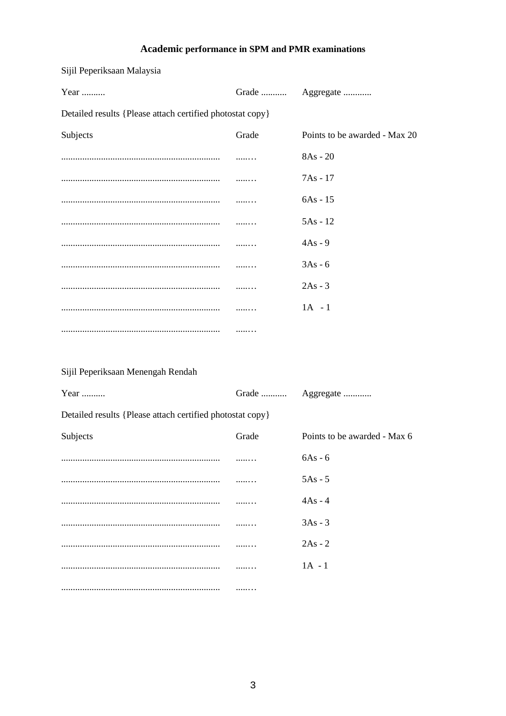# **Academic performance in SPM and PMR examinations**

| Year                                                      | Grade | Aggregate                     |  |  |  |  |
|-----------------------------------------------------------|-------|-------------------------------|--|--|--|--|
| Detailed results {Please attach certified photostat copy} |       |                               |  |  |  |  |
| Subjects                                                  | Grade | Points to be awarded - Max 20 |  |  |  |  |
|                                                           |       | $8As - 20$                    |  |  |  |  |
|                                                           | .     | 7As - 17                      |  |  |  |  |
|                                                           |       | $6As - 15$                    |  |  |  |  |
|                                                           |       | $5As - 12$                    |  |  |  |  |
|                                                           |       | $4As - 9$                     |  |  |  |  |
|                                                           | .     | $3As - 6$                     |  |  |  |  |
|                                                           | .     | $2As - 3$                     |  |  |  |  |
|                                                           | .     | $1A - 1$                      |  |  |  |  |
|                                                           |       |                               |  |  |  |  |
|                                                           |       |                               |  |  |  |  |
| Sijil Peperiksaan Menengah Rendah                         |       |                               |  |  |  |  |
| Year                                                      |       | Grade  Aggregate              |  |  |  |  |
| Detailed results {Please attach certified photostat copy} |       |                               |  |  |  |  |
| Subjects                                                  | Grade | Points to be awarded - Max 6  |  |  |  |  |
|                                                           |       | 6As - 6                       |  |  |  |  |
|                                                           |       | $5As - 5$                     |  |  |  |  |
|                                                           |       | $4As - 4$                     |  |  |  |  |
|                                                           |       | $3As - 3$                     |  |  |  |  |
|                                                           |       | $2As - 2$                     |  |  |  |  |
|                                                           |       | $1A - 1$                      |  |  |  |  |
|                                                           |       |                               |  |  |  |  |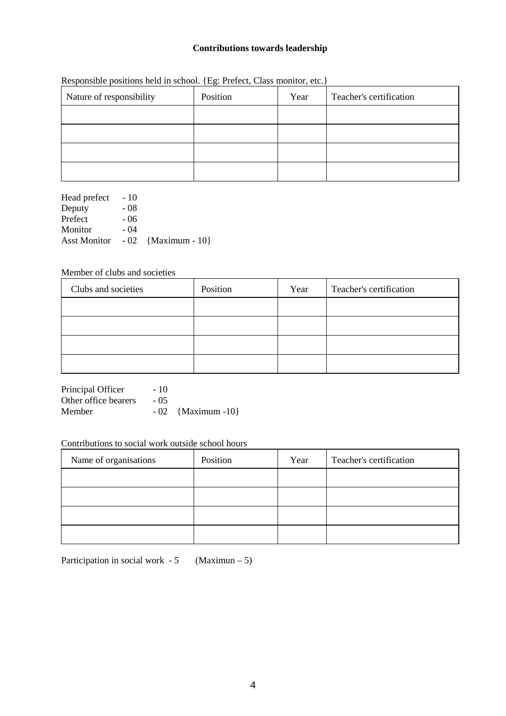## **Contributions towards leadership**

| Nature of responsibility | Position | Year | Teacher's certification |
|--------------------------|----------|------|-------------------------|
|                          |          |      |                         |
|                          |          |      |                         |
|                          |          |      |                         |
|                          |          |      |                         |

Responsible positions held in school. {Eg: Prefect, Class monitor, etc.}

Head prefect - 10 Deputy - 08<br>Prefect - 06 Prefect - 06<br>Monitor - 04 Monitor Asst Monitor - 02 {Maximum - 10}

## Member of clubs and societies

| Clubs and societies | Position | Year | Teacher's certification |
|---------------------|----------|------|-------------------------|
|                     |          |      |                         |
|                     |          |      |                         |
|                     |          |      |                         |
|                     |          |      |                         |

Principal Officer - 10 Other office bearers - 05 Member - 02 {Maximum -10}

## Contributions to social work outside school hours

| Name of organisations | Position | Year | Teacher's certification |
|-----------------------|----------|------|-------------------------|
|                       |          |      |                         |
|                       |          |      |                         |
|                       |          |      |                         |
|                       |          |      |                         |

Participation in social work -  $5$  (Maximun –  $5$ )